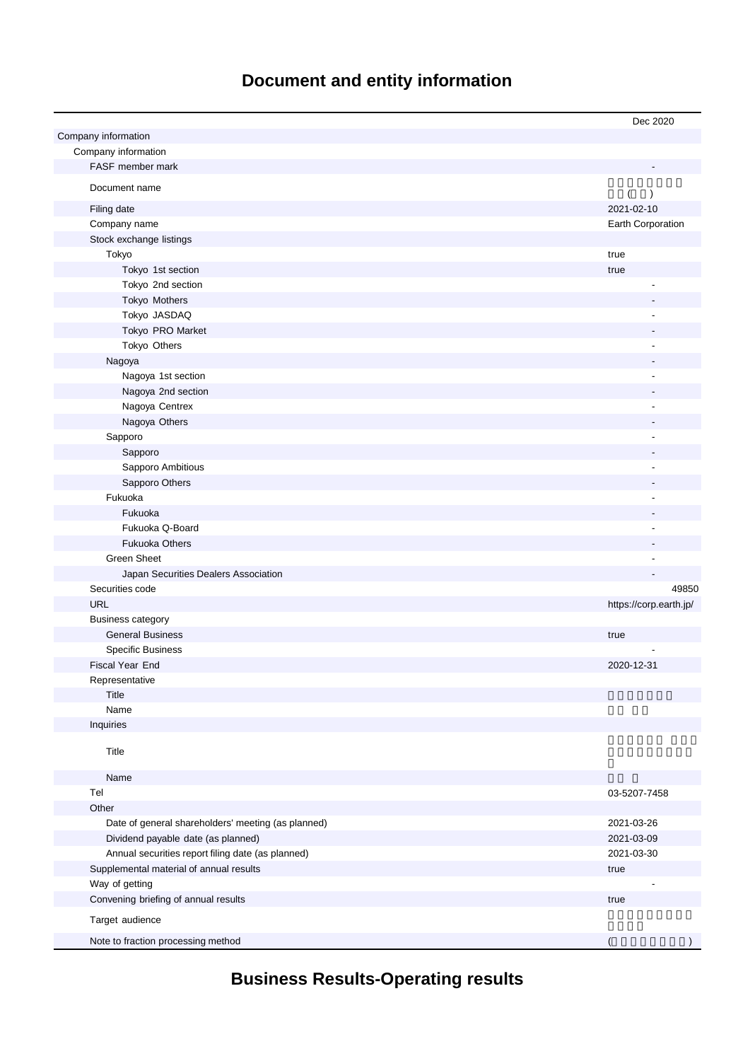# **Document and entity information**

|                                                    | Dec 2020               |
|----------------------------------------------------|------------------------|
| Company information                                |                        |
| Company information                                |                        |
| FASF member mark                                   |                        |
| Document name                                      | (<br>$\lambda$         |
| Filing date                                        | 2021-02-10             |
| Company name                                       | Earth Corporation      |
| Stock exchange listings                            |                        |
| Tokyo                                              | true                   |
| Tokyo 1st section                                  | true                   |
| Tokyo 2nd section                                  |                        |
| Tokyo Mothers                                      |                        |
| Tokyo JASDAQ                                       |                        |
| Tokyo PRO Market                                   |                        |
| Tokyo Others                                       |                        |
| Nagoya                                             |                        |
| Nagoya 1st section                                 |                        |
| Nagoya 2nd section                                 |                        |
| Nagoya Centrex                                     |                        |
| Nagoya Others                                      |                        |
| Sapporo                                            |                        |
| Sapporo                                            |                        |
| Sapporo Ambitious                                  |                        |
| Sapporo Others                                     |                        |
| Fukuoka                                            |                        |
| Fukuoka                                            |                        |
| Fukuoka Q-Board                                    |                        |
| <b>Fukuoka Others</b>                              |                        |
| <b>Green Sheet</b>                                 |                        |
| Japan Securities Dealers Association               |                        |
| Securities code                                    | 49850                  |
| <b>URL</b>                                         | https://corp.earth.jp/ |
| <b>Business category</b>                           |                        |
| <b>General Business</b>                            | true                   |
| <b>Specific Business</b>                           |                        |
| Fiscal Year End                                    | 2020-12-31             |
| Representative                                     |                        |
| Title                                              |                        |
| Name                                               |                        |
| Inquiries                                          |                        |
| Title                                              |                        |
| Name                                               |                        |
| Tel                                                | 03-5207-7458           |
| Other                                              |                        |
| Date of general shareholders' meeting (as planned) | 2021-03-26             |
| Dividend payable date (as planned)                 | 2021-03-09             |
| Annual securities report filing date (as planned)  | 2021-03-30             |
| Supplemental material of annual results            | true                   |
| Way of getting                                     |                        |
| Convening briefing of annual results               | true                   |
| Target audience                                    |                        |
| Note to fraction processing method                 |                        |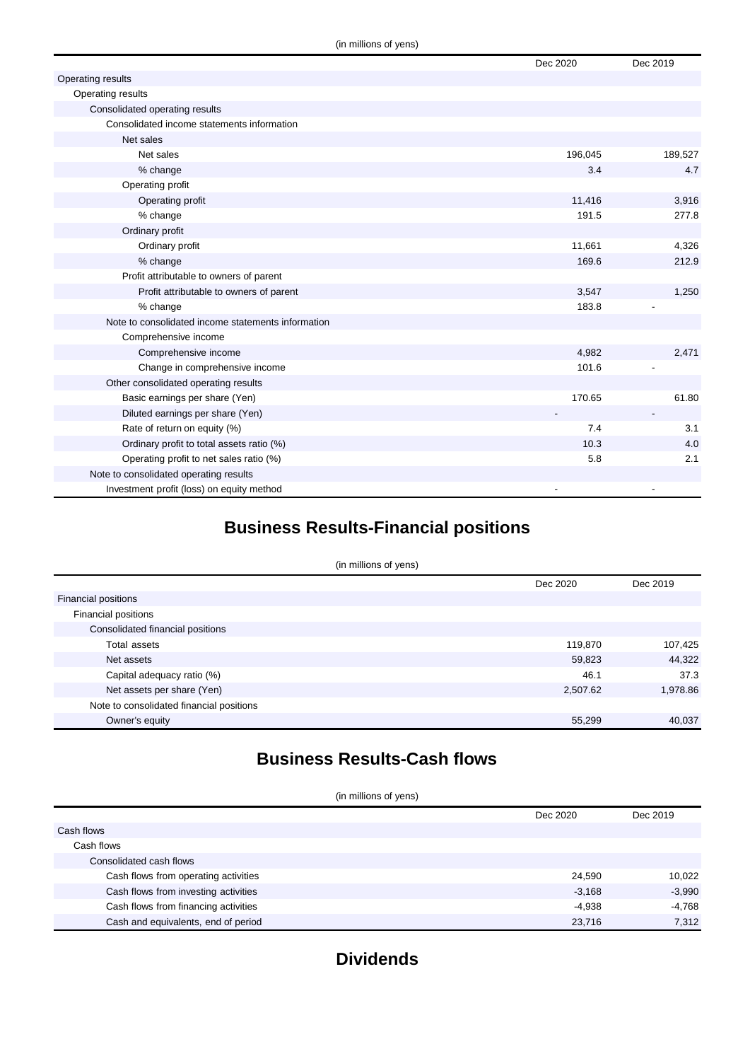|                                                    | Dec 2020 | Dec 2019 |
|----------------------------------------------------|----------|----------|
| Operating results                                  |          |          |
| Operating results                                  |          |          |
| Consolidated operating results                     |          |          |
| Consolidated income statements information         |          |          |
| Net sales                                          |          |          |
| Net sales                                          | 196,045  | 189,527  |
| % change                                           | 3.4      | 4.7      |
| Operating profit                                   |          |          |
| Operating profit                                   | 11,416   | 3,916    |
| % change                                           | 191.5    | 277.8    |
| Ordinary profit                                    |          |          |
| Ordinary profit                                    | 11,661   | 4,326    |
| % change                                           | 169.6    | 212.9    |
| Profit attributable to owners of parent            |          |          |
| Profit attributable to owners of parent            | 3,547    | 1,250    |
| % change                                           | 183.8    |          |
| Note to consolidated income statements information |          |          |
| Comprehensive income                               |          |          |
| Comprehensive income                               | 4,982    | 2,471    |
| Change in comprehensive income                     | 101.6    |          |
| Other consolidated operating results               |          |          |
| Basic earnings per share (Yen)                     | 170.65   | 61.80    |
| Diluted earnings per share (Yen)                   |          |          |
| Rate of return on equity (%)                       | 7.4      | 3.1      |
| Ordinary profit to total assets ratio (%)          | 10.3     | 4.0      |
| Operating profit to net sales ratio (%)            | 5.8      | 2.1      |
| Note to consolidated operating results             |          |          |
| Investment profit (loss) on equity method          |          |          |

## **Business Results-Financial positions**

#### (in millions of yens)

|                                          | Dec 2020 | Dec 2019 |
|------------------------------------------|----------|----------|
| <b>Financial positions</b>               |          |          |
| Financial positions                      |          |          |
| Consolidated financial positions         |          |          |
| Total assets                             | 119,870  | 107,425  |
| Net assets                               | 59,823   | 44,322   |
| Capital adequacy ratio (%)               | 46.1     | 37.3     |
| Net assets per share (Yen)               | 2,507.62 | 1,978.86 |
| Note to consolidated financial positions |          |          |
| Owner's equity                           | 55,299   | 40,037   |
|                                          |          |          |

### **Business Results-Cash flows**

| (in millions of yens) |  |
|-----------------------|--|
|-----------------------|--|

|                                      | Dec 2020 | Dec 2019 |
|--------------------------------------|----------|----------|
| Cash flows                           |          |          |
| Cash flows                           |          |          |
| Consolidated cash flows              |          |          |
| Cash flows from operating activities | 24,590   | 10,022   |
| Cash flows from investing activities | $-3,168$ | $-3,990$ |
| Cash flows from financing activities | $-4,938$ | $-4,768$ |
| Cash and equivalents, end of period  | 23,716   | 7,312    |

### **Dividends**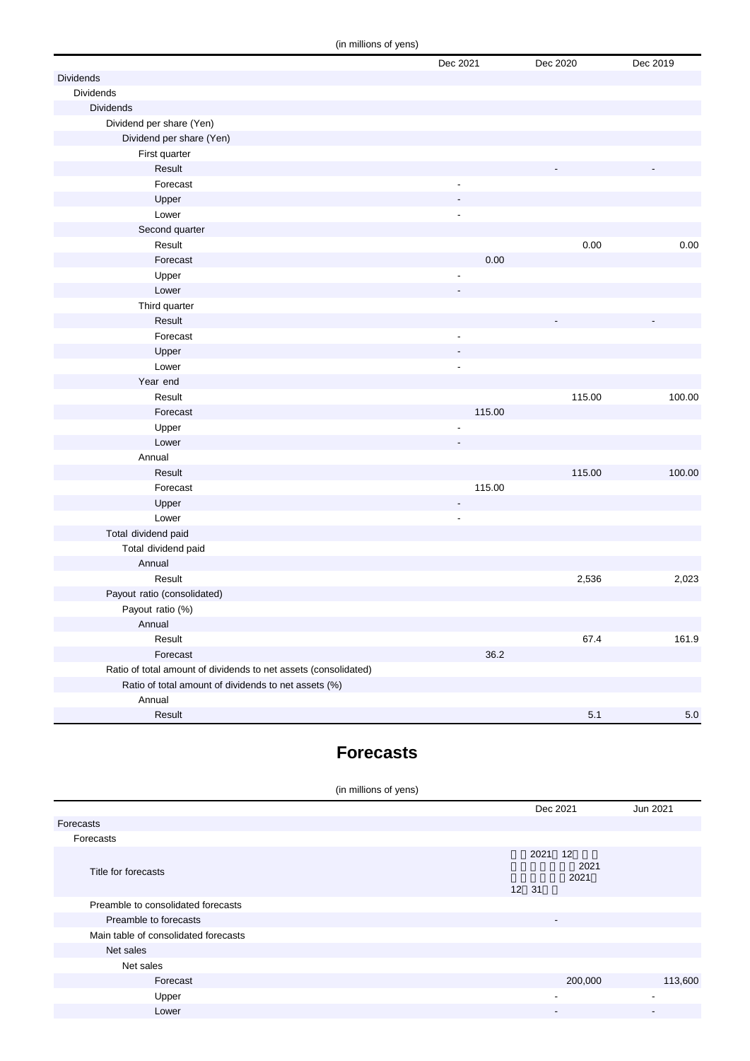(in millions of yens)

|                                                                 | $\cdots$ |                          |          |          |
|-----------------------------------------------------------------|----------|--------------------------|----------|----------|
|                                                                 |          | Dec 2021                 | Dec 2020 | Dec 2019 |
| <b>Dividends</b>                                                |          |                          |          |          |
| Dividends                                                       |          |                          |          |          |
| <b>Dividends</b>                                                |          |                          |          |          |
| Dividend per share (Yen)                                        |          |                          |          |          |
| Dividend per share (Yen)                                        |          |                          |          |          |
| First quarter                                                   |          |                          |          |          |
| Result                                                          |          |                          |          |          |
| Forecast                                                        |          |                          |          |          |
| Upper                                                           |          |                          |          |          |
| Lower                                                           |          | ٠                        |          |          |
| Second quarter                                                  |          |                          |          |          |
| Result                                                          |          |                          | 0.00     | 0.00     |
| Forecast                                                        |          | 0.00                     |          |          |
| Upper                                                           |          |                          |          |          |
| Lower                                                           |          |                          |          |          |
| Third quarter                                                   |          |                          |          |          |
| Result                                                          |          |                          |          |          |
| Forecast                                                        |          | $\overline{\phantom{a}}$ |          |          |
| Upper                                                           |          |                          |          |          |
| Lower                                                           |          | $\overline{\phantom{a}}$ |          |          |
| Year end                                                        |          |                          |          |          |
| Result                                                          |          |                          | 115.00   | 100.00   |
| Forecast                                                        |          | 115.00                   |          |          |
| Upper                                                           |          | ٠                        |          |          |
| Lower                                                           |          |                          |          |          |
| Annual                                                          |          |                          |          |          |
| Result                                                          |          |                          | 115.00   | 100.00   |
| Forecast                                                        |          | 115.00                   |          |          |
| Upper                                                           |          | $\overline{\phantom{a}}$ |          |          |
| Lower                                                           |          | $\blacksquare$           |          |          |
| Total dividend paid                                             |          |                          |          |          |
| Total dividend paid                                             |          |                          |          |          |
| Annual                                                          |          |                          |          |          |
| Result                                                          |          |                          | 2,536    | 2,023    |
| Payout ratio (consolidated)                                     |          |                          |          |          |
| Payout ratio (%)                                                |          |                          |          |          |
| Annual                                                          |          |                          |          |          |
| Result                                                          |          |                          | 67.4     | 161.9    |
| Forecast                                                        |          | 36.2                     |          |          |
| Ratio of total amount of dividends to net assets (consolidated) |          |                          |          |          |
| Ratio of total amount of dividends to net assets (%)            |          |                          |          |          |
| Annual                                                          |          |                          |          |          |
| Result                                                          |          |                          | $5.1$    | $5.0\,$  |

#### **Forecasts**

| (in millions of yens)                |  |               |                          |                          |
|--------------------------------------|--|---------------|--------------------------|--------------------------|
|                                      |  |               | Dec 2021                 | Jun 2021                 |
| Forecasts                            |  |               |                          |                          |
| Forecasts                            |  |               |                          |                          |
| Title for forecasts                  |  | 2021<br>12 31 | 12<br>2021<br>2021       |                          |
| Preamble to consolidated forecasts   |  |               |                          |                          |
| Preamble to forecasts                |  |               | $\overline{\phantom{a}}$ |                          |
| Main table of consolidated forecasts |  |               |                          |                          |
| Net sales                            |  |               |                          |                          |
| Net sales                            |  |               |                          |                          |
| Forecast                             |  |               | 200,000                  | 113,600                  |
| Upper                                |  |               | $\overline{\phantom{a}}$ | $\blacksquare$           |
| Lower                                |  |               | $\overline{\phantom{a}}$ | $\overline{\phantom{a}}$ |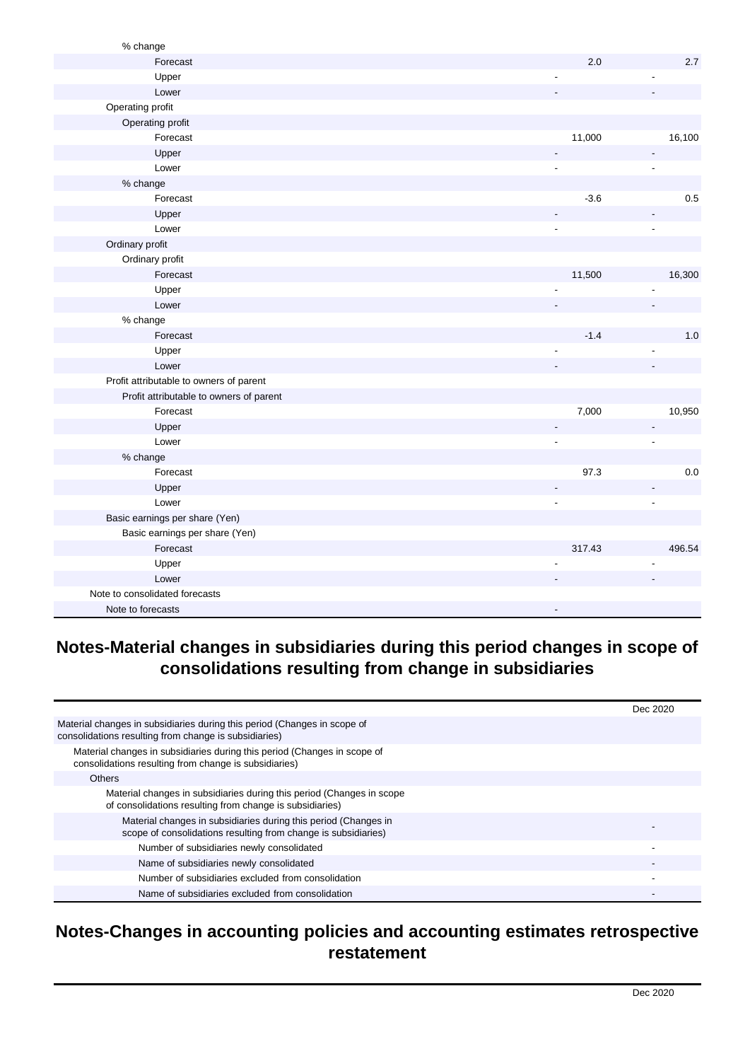| % change                                |                          |                          |
|-----------------------------------------|--------------------------|--------------------------|
| Forecast                                | 2.0                      | 2.7                      |
| Upper                                   | $\overline{a}$           |                          |
| Lower                                   |                          |                          |
| Operating profit                        |                          |                          |
| Operating profit                        |                          |                          |
| Forecast                                | 11,000                   | 16,100                   |
| Upper                                   | ÷.                       | $\blacksquare$           |
| Lower                                   | ٠                        | $\blacksquare$           |
| % change                                |                          |                          |
| Forecast                                | $-3.6$                   | 0.5                      |
| Upper                                   |                          | $\overline{\phantom{a}}$ |
| Lower                                   | $\overline{a}$           | $\overline{\phantom{a}}$ |
| Ordinary profit                         |                          |                          |
| Ordinary profit                         |                          |                          |
| Forecast                                | 11,500                   | 16,300                   |
| Upper                                   |                          |                          |
| Lower                                   |                          |                          |
| % change                                |                          |                          |
| Forecast                                | $-1.4$                   | 1.0                      |
| Upper                                   | $\overline{a}$           |                          |
| Lower                                   |                          |                          |
| Profit attributable to owners of parent |                          |                          |
| Profit attributable to owners of parent |                          |                          |
| Forecast                                | 7,000                    | 10,950                   |
| Upper                                   | $\overline{\phantom{0}}$ | $\overline{\phantom{a}}$ |
| Lower                                   | $\overline{a}$           | $\blacksquare$           |
| % change                                |                          |                          |
| Forecast                                | 97.3                     | $0.0\,$                  |
| Upper                                   |                          |                          |
| Lower                                   | ٠                        | $\overline{\phantom{a}}$ |
| Basic earnings per share (Yen)          |                          |                          |
| Basic earnings per share (Yen)          |                          |                          |
| Forecast                                | 317.43                   | 496.54                   |
| Upper                                   |                          |                          |
| Lower                                   |                          |                          |
| Note to consolidated forecasts          |                          |                          |
| Note to forecasts                       |                          |                          |

## **Notes-Material changes in subsidiaries during this period changes in scope of consolidations resulting from change in subsidiaries**

|                                                                                                                                   | Dec 2020 |
|-----------------------------------------------------------------------------------------------------------------------------------|----------|
| Material changes in subsidiaries during this period (Changes in scope of<br>consolidations resulting from change is subsidiaries) |          |
| Material changes in subsidiaries during this period (Changes in scope of<br>consolidations resulting from change is subsidiaries) |          |
| <b>Others</b>                                                                                                                     |          |
| Material changes in subsidiaries during this period (Changes in scope<br>of consolidations resulting from change is subsidiaries) |          |
| Material changes in subsidiaries during this period (Changes in<br>scope of consolidations resulting from change is subsidiaries) |          |
| Number of subsidiaries newly consolidated                                                                                         |          |
| Name of subsidiaries newly consolidated                                                                                           |          |
| Number of subsidiaries excluded from consolidation                                                                                |          |
| Name of subsidiaries excluded from consolidation                                                                                  |          |

#### **Notes-Changes in accounting policies and accounting estimates retrospective restatement**